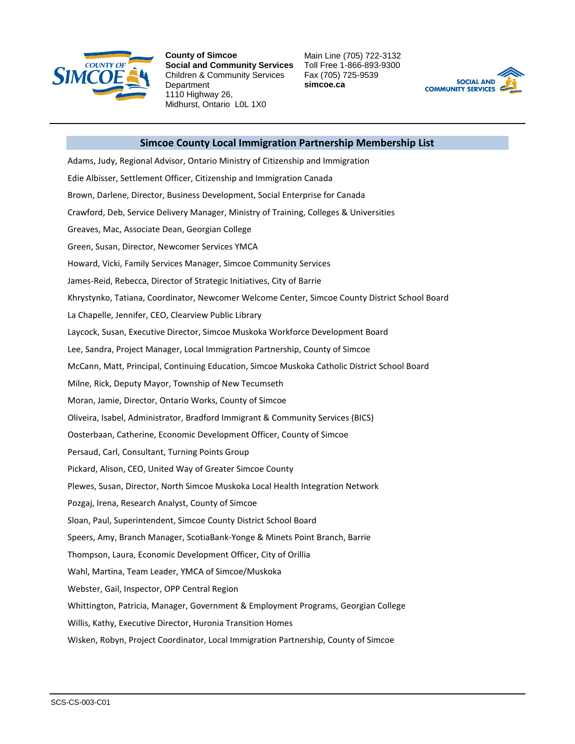

**County of Simcoe Social and Community Services** Children & Community Services **Department** 1110 Highway 26, Midhurst, Ontario L0L 1X0

Main Line (705) 722-3132 Toll Free 1-866-893-9300 Fax (705) 725-9539 **simcoe.ca**



## **Simcoe County Local Immigration Partnership Membership List**

Adams, Judy, Regional Advisor, Ontario Ministry of Citizenship and Immigration Edie Albisser, Settlement Officer, Citizenship and Immigration Canada Brown, Darlene, Director, Business Development, Social Enterprise for Canada Crawford, Deb, Service Delivery Manager, Ministry of Training, Colleges & Universities Greaves, Mac, Associate Dean, Georgian College Green, Susan, Director, Newcomer Services YMCA Howard, Vicki, Family Services Manager, Simcoe Community Services James-Reid, Rebecca, Director of Strategic Initiatives, City of Barrie Khrystynko, Tatiana, Coordinator, Newcomer Welcome Center, Simcoe County District School Board La Chapelle, Jennifer, CEO, Clearview Public Library Laycock, Susan, Executive Director, Simcoe Muskoka Workforce Development Board Lee, Sandra, Project Manager, Local Immigration Partnership, County of Simcoe McCann, Matt, Principal, Continuing Education, Simcoe Muskoka Catholic District School Board Milne, Rick, Deputy Mayor, Township of New Tecumseth Moran, Jamie, Director, Ontario Works, County of Simcoe Oliveira, Isabel, Administrator, Bradford Immigrant & Community Services (BICS) Oosterbaan, Catherine, Economic Development Officer, County of Simcoe Persaud, Carl, Consultant, Turning Points Group Pickard, Alison, CEO, United Way of Greater Simcoe County Plewes, Susan, Director, North Simcoe Muskoka Local Health Integration Network Pozgaj, Irena, Research Analyst, County of Simcoe Sloan, Paul, Superintendent, Simcoe County District School Board Speers, Amy, Branch Manager, ScotiaBank-Yonge & Minets Point Branch, Barrie Thompson, Laura, Economic Development Officer, City of Orillia Wahl, Martina, Team Leader, YMCA of Simcoe/Muskoka Webster, Gail, Inspector, OPP Central Region Whittington, Patricia, Manager, Government & Employment Programs, Georgian College Willis, Kathy, Executive Director, Huronia Transition Homes Wisken, Robyn, Project Coordinator, Local Immigration Partnership, County of Simcoe